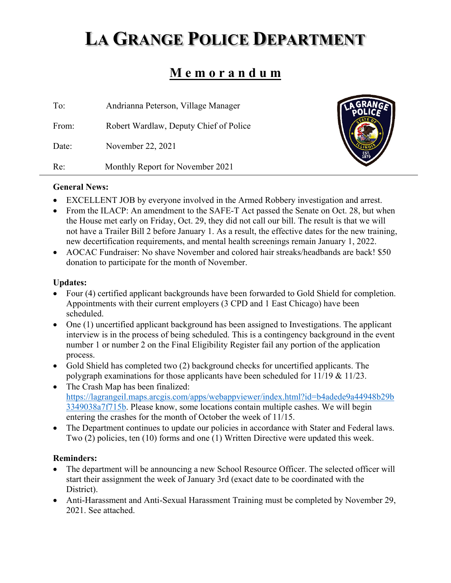# **LA GRANGE POLICE DEPARTMENT**

# **M e m o r a n d u m**

| To:   | Andrianna Peterson, Village Manager    |
|-------|----------------------------------------|
| From: | Robert Wardlaw, Deputy Chief of Police |
| Date: | November 22, 2021                      |
| Re:   | Monthly Report for November 2021       |



#### **General News:**

- EXCELLENT JOB by everyone involved in the Armed Robbery investigation and arrest.
- From the ILACP: An amendment to the SAFE-T Act passed the Senate on Oct. 28, but when the House met early on Friday, Oct. 29, they did not call our bill. The result is that we will not have a Trailer Bill 2 before January 1. As a result, the effective dates for the new training, new decertification requirements, and mental health screenings remain January 1, 2022.
- AOCAC Fundraiser: No shave November and colored hair streaks/headbands are back! \$50 donation to participate for the month of November.

## **Updates:**

- Four (4) certified applicant backgrounds have been forwarded to Gold Shield for completion. Appointments with their current employers (3 CPD and 1 East Chicago) have been scheduled.
- One (1) uncertified applicant background has been assigned to Investigations. The applicant interview is in the process of being scheduled. This is a contingency background in the event number 1 or number 2 on the Final Eligibility Register fail any portion of the application process.
- Gold Shield has completed two (2) background checks for uncertified applicants. The polygraph examinations for those applicants have been scheduled for 11/19 & 11/23.
- The Crash Map has been finalized: https://lagrangeil.maps.arcgis.com/apps/webappviewer/index.html?id=b4adede9a44948b29b 3349038a7f715b. Please know, some locations contain multiple cashes. We will begin entering the crashes for the month of October the week of 11/15.
- The Department continues to update our policies in accordance with Stater and Federal laws. Two (2) policies, ten (10) forms and one (1) Written Directive were updated this week.

# **Reminders:**

- The department will be announcing a new School Resource Officer. The selected officer will start their assignment the week of January 3rd (exact date to be coordinated with the District).
- Anti-Harassment and Anti-Sexual Harassment Training must be completed by November 29, 2021. See attached.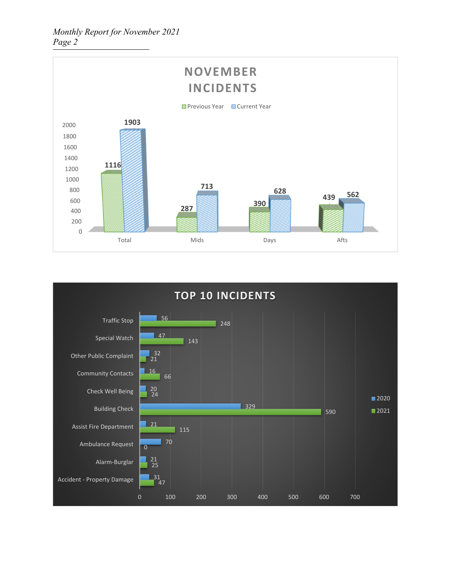

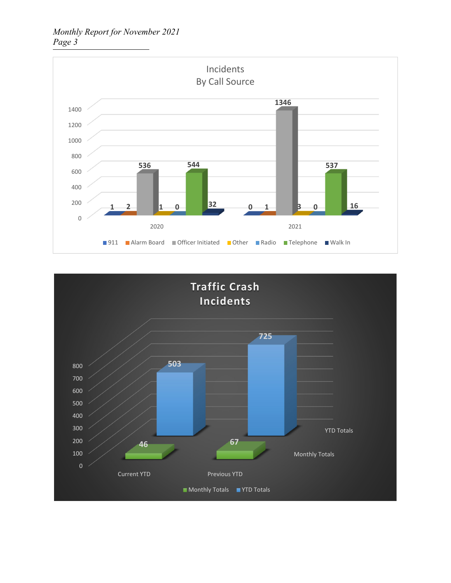*Monthly Report for November 2021 Page 3* 



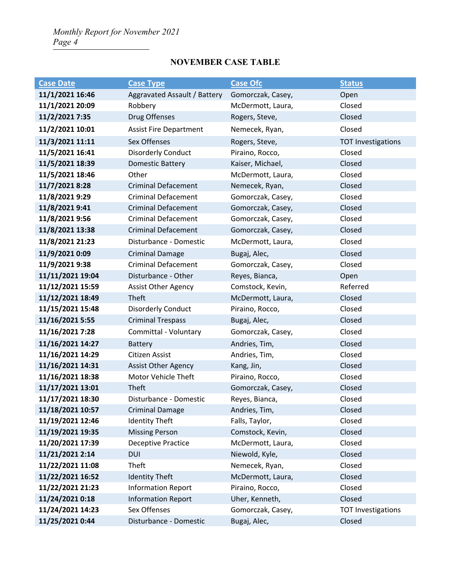# **NOVEMBER CASE TABLE**

| <b>Case Date</b> | <b>Case Type</b>              | <b>Case Ofc</b>             | <b>Status</b>             |
|------------------|-------------------------------|-----------------------------|---------------------------|
| 11/1/2021 16:46  | Aggravated Assault / Battery  | Gomorczak, Casey,<br>Open   |                           |
| 11/1/2021 20:09  | Robbery                       | Closed<br>McDermott, Laura, |                           |
| 11/2/2021 7:35   | Drug Offenses                 | Closed<br>Rogers, Steve,    |                           |
| 11/2/2021 10:01  | <b>Assist Fire Department</b> | Nemecek, Ryan,              | Closed                    |
| 11/3/2021 11:11  | Sex Offenses                  | Rogers, Steve,              | <b>TOT Investigations</b> |
| 11/5/2021 16:41  | <b>Disorderly Conduct</b>     | Piraino, Rocco,             | Closed                    |
| 11/5/2021 18:39  | <b>Domestic Battery</b>       | Kaiser, Michael,            | Closed                    |
| 11/5/2021 18:46  | Other                         | McDermott, Laura,           | Closed                    |
| 11/7/2021 8:28   | <b>Criminal Defacement</b>    | Nemecek, Ryan,              | Closed                    |
| 11/8/2021 9:29   | <b>Criminal Defacement</b>    | Gomorczak, Casey,           | Closed                    |
| 11/8/2021 9:41   | <b>Criminal Defacement</b>    | Gomorczak, Casey,           | Closed                    |
| 11/8/2021 9:56   | <b>Criminal Defacement</b>    | Gomorczak, Casey,           | Closed                    |
| 11/8/2021 13:38  | <b>Criminal Defacement</b>    | Gomorczak, Casey,           | Closed                    |
| 11/8/2021 21:23  | Disturbance - Domestic        | McDermott, Laura,           | Closed                    |
| 11/9/2021 0:09   | <b>Criminal Damage</b>        | Bugaj, Alec,                | Closed                    |
| 11/9/2021 9:38   | <b>Criminal Defacement</b>    | Gomorczak, Casey,           | Closed                    |
| 11/11/2021 19:04 | Disturbance - Other           | Reyes, Bianca,              | Open                      |
| 11/12/2021 15:59 | <b>Assist Other Agency</b>    | Comstock, Kevin,            | Referred                  |
| 11/12/2021 18:49 | Theft                         | McDermott, Laura,           | Closed                    |
| 11/15/2021 15:48 | <b>Disorderly Conduct</b>     | Piraino, Rocco,             | Closed                    |
| 11/16/2021 5:55  | <b>Criminal Trespass</b>      | Bugaj, Alec,                | Closed                    |
| 11/16/2021 7:28  | Committal - Voluntary         | Gomorczak, Casey,           | Closed                    |
| 11/16/2021 14:27 | <b>Battery</b>                | Andries, Tim,<br>Closed     |                           |
| 11/16/2021 14:29 | Citizen Assist                | Closed<br>Andries, Tim,     |                           |
| 11/16/2021 14:31 | <b>Assist Other Agency</b>    | Closed<br>Kang, Jin,        |                           |
| 11/16/2021 18:38 | Motor Vehicle Theft           | Closed<br>Piraino, Rocco,   |                           |
| 11/17/2021 13:01 | Theft                         | Closed<br>Gomorczak, Casey, |                           |
| 11/17/2021 18:30 | Disturbance - Domestic        | Closed<br>Reyes, Bianca,    |                           |
| 11/18/2021 10:57 | <b>Criminal Damage</b>        | Andries, Tim,<br>Closed     |                           |
| 11/19/2021 12:46 | <b>Identity Theft</b>         | Falls, Taylor,              | Closed                    |
| 11/19/2021 19:35 | <b>Missing Person</b>         | Comstock, Kevin,            | Closed                    |
| 11/20/2021 17:39 | <b>Deceptive Practice</b>     | McDermott, Laura,           | Closed                    |
| 11/21/2021 2:14  | <b>DUI</b>                    | Niewold, Kyle,              | Closed                    |
| 11/22/2021 11:08 | Theft                         | Nemecek, Ryan,              | Closed                    |
| 11/22/2021 16:52 | <b>Identity Theft</b>         | McDermott, Laura,           | Closed                    |
| 11/22/2021 21:23 | <b>Information Report</b>     | Piraino, Rocco,             | Closed                    |
| 11/24/2021 0:18  | <b>Information Report</b>     | Uher, Kenneth,              | Closed                    |
| 11/24/2021 14:23 | Sex Offenses                  | Gomorczak, Casey,           | <b>TOT Investigations</b> |
| 11/25/2021 0:44  | Disturbance - Domestic        | Bugaj, Alec,                | Closed                    |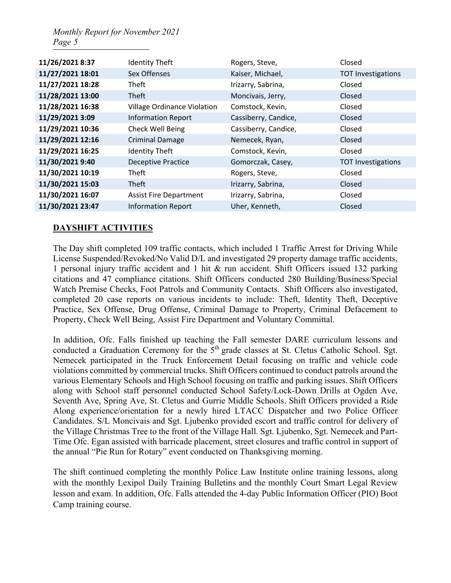| 11/26/2021 8:37  | <b>Identity Theft</b>              | Rogers, Steve,       | Closed                    |  |
|------------------|------------------------------------|----------------------|---------------------------|--|
| 11/27/2021 18:01 | Sex Offenses                       | Kaiser, Michael,     | <b>TOT Investigations</b> |  |
| 11/27/2021 18:28 | Theft                              | Irizarry, Sabrina,   | Closed                    |  |
| 11/28/2021 13:00 | <b>Theft</b>                       | Moncivais, Jerry,    | Closed                    |  |
| 11/28/2021 16:38 | <b>Village Ordinance Violation</b> | Comstock, Kevin,     | Closed                    |  |
| 11/29/2021 3:09  | <b>Information Report</b>          | Cassiberry, Candice, | Closed                    |  |
| 11/29/2021 10:36 | Check Well Being                   | Cassiberry, Candice, | Closed                    |  |
| 11/29/2021 12:16 | <b>Criminal Damage</b>             | Nemecek, Ryan,       | Closed                    |  |
| 11/29/2021 16:25 | <b>Identity Theft</b>              | Comstock, Kevin,     | Closed                    |  |
| 11/30/2021 9:40  | <b>Deceptive Practice</b>          | Gomorczak, Casey,    | <b>TOT Investigations</b> |  |
| 11/30/2021 10:19 | Theft                              | Rogers, Steve,       | Closed                    |  |
| 11/30/2021 15:03 | <b>Theft</b>                       | Irizarry, Sabrina,   | Closed                    |  |
| 11/30/2021 16:07 | <b>Assist Fire Department</b>      | Irizarry, Sabrina,   | Closed                    |  |
| 11/30/2021 23:47 | <b>Information Report</b>          | Uher, Kenneth,       | Closed                    |  |

#### **DAYSHIFT ACTIVITIES**

The Day shift completed 109 traffic contacts, which included 1 Traffic Arrest for Driving While License Suspended/Revoked/No Valid D/L and investigated 29 property damage traffic accidents, 1 personal injury traffic accident and 1 hit & run accident. Shift Officers issued 132 parking citations and 47 compliance citations. Shift Officers conducted 280 Building/Business/Special Watch Premise Checks, Foot Patrols and Community Contacts. Shift Officers also investigated, completed 20 case reports on various incidents to include: Theft, Identity Theft, Deceptive Practice, Sex Offense, Drug Offense, Criminal Damage to Property, Criminal Defacement to Property, Check Well Being, Assist Fire Department and Voluntary Committal.

In addition, Ofc. Falls finished up teaching the Fall semester DARE curriculum lessons and conducted a Graduation Ceremony for the 5<sup>th</sup> grade classes at St. Cletus Catholic School. Sgt. Nemecek participated in the Truck Enforcement Detail focusing on traffic and vehicle code violations committed by commercial trucks. Shift Officers continued to conduct patrols around the various Elementary Schools and High School focusing on traffic and parking issues. Shift Officers along with School staff personnel conducted School Safety/Lock-Down Drills at Ogden Ave, Seventh Ave, Spring Ave, St. Cletus and Gurrie Middle Schools. Shift Officers provided a Ride Along experience/orientation for a newly hired LTACC Dispatcher and two Police Officer Candidates. S/L Moncivais and Sgt. Ljubenko provided escort and traffic control for delivery of the Village Christmas Tree to the front of the Village Hall. Sgt. Ljubenko, Sgt. Nemecek and Part-Time Ofc. Egan assisted with barricade placement, street closures and traffic control in support of the annual "Pie Run for Rotary" event conducted on Thanksgiving morning.

The shift continued completing the monthly Police Law Institute online training lessons, along with the monthly Lexipol Daily Training Bulletins and the monthly Court Smart Legal Review lesson and exam. In addition, Ofc. Falls attended the 4-day Public Information Officer (PIO) Boot Camp training course.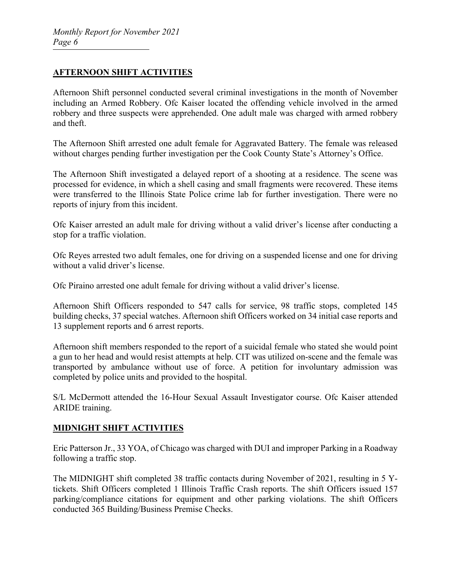#### **AFTERNOON SHIFT ACTIVITIES**

Afternoon Shift personnel conducted several criminal investigations in the month of November including an Armed Robbery. Ofc Kaiser located the offending vehicle involved in the armed robbery and three suspects were apprehended. One adult male was charged with armed robbery and theft.

The Afternoon Shift arrested one adult female for Aggravated Battery. The female was released without charges pending further investigation per the Cook County State's Attorney's Office.

The Afternoon Shift investigated a delayed report of a shooting at a residence. The scene was processed for evidence, in which a shell casing and small fragments were recovered. These items were transferred to the Illinois State Police crime lab for further investigation. There were no reports of injury from this incident.

Ofc Kaiser arrested an adult male for driving without a valid driver's license after conducting a stop for a traffic violation.

Ofc Reyes arrested two adult females, one for driving on a suspended license and one for driving without a valid driver's license.

Ofc Piraino arrested one adult female for driving without a valid driver's license.

Afternoon Shift Officers responded to 547 calls for service, 98 traffic stops, completed 145 building checks, 37 special watches. Afternoon shift Officers worked on 34 initial case reports and 13 supplement reports and 6 arrest reports.

Afternoon shift members responded to the report of a suicidal female who stated she would point a gun to her head and would resist attempts at help. CIT was utilized on-scene and the female was transported by ambulance without use of force. A petition for involuntary admission was completed by police units and provided to the hospital.

S/L McDermott attended the 16-Hour Sexual Assault Investigator course. Ofc Kaiser attended ARIDE training.

#### **MIDNIGHT SHIFT ACTIVITIES**

Eric Patterson Jr., 33 YOA, of Chicago was charged with DUI and improper Parking in a Roadway following a traffic stop.

The MIDNIGHT shift completed 38 traffic contacts during November of 2021, resulting in 5 Ytickets. Shift Officers completed 1 Illinois Traffic Crash reports. The shift Officers issued 157 parking/compliance citations for equipment and other parking violations. The shift Officers conducted 365 Building/Business Premise Checks.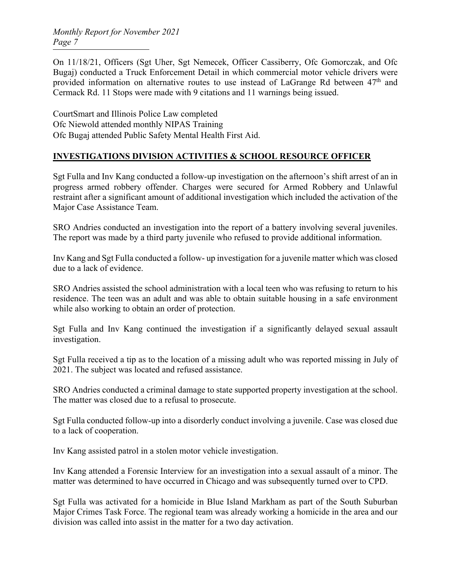On 11/18/21, Officers (Sgt Uher, Sgt Nemecek, Officer Cassiberry, Ofc Gomorczak, and Ofc Bugaj) conducted a Truck Enforcement Detail in which commercial motor vehicle drivers were provided information on alternative routes to use instead of LaGrange Rd between  $47<sup>th</sup>$  and Cermack Rd. 11 Stops were made with 9 citations and 11 warnings being issued.

CourtSmart and Illinois Police Law completed Ofc Niewold attended monthly NIPAS Training Ofc Bugaj attended Public Safety Mental Health First Aid.

#### **INVESTIGATIONS DIVISION ACTIVITIES & SCHOOL RESOURCE OFFICER**

Sgt Fulla and Inv Kang conducted a follow-up investigation on the afternoon's shift arrest of an in progress armed robbery offender. Charges were secured for Armed Robbery and Unlawful restraint after a significant amount of additional investigation which included the activation of the Major Case Assistance Team.

SRO Andries conducted an investigation into the report of a battery involving several juveniles. The report was made by a third party juvenile who refused to provide additional information.

Inv Kang and Sgt Fulla conducted a follow- up investigation for a juvenile matter which was closed due to a lack of evidence.

SRO Andries assisted the school administration with a local teen who was refusing to return to his residence. The teen was an adult and was able to obtain suitable housing in a safe environment while also working to obtain an order of protection.

Sgt Fulla and Inv Kang continued the investigation if a significantly delayed sexual assault investigation.

Sgt Fulla received a tip as to the location of a missing adult who was reported missing in July of 2021. The subject was located and refused assistance.

SRO Andries conducted a criminal damage to state supported property investigation at the school. The matter was closed due to a refusal to prosecute.

Sgt Fulla conducted follow-up into a disorderly conduct involving a juvenile. Case was closed due to a lack of cooperation.

Inv Kang assisted patrol in a stolen motor vehicle investigation.

Inv Kang attended a Forensic Interview for an investigation into a sexual assault of a minor. The matter was determined to have occurred in Chicago and was subsequently turned over to CPD.

Sgt Fulla was activated for a homicide in Blue Island Markham as part of the South Suburban Major Crimes Task Force. The regional team was already working a homicide in the area and our division was called into assist in the matter for a two day activation.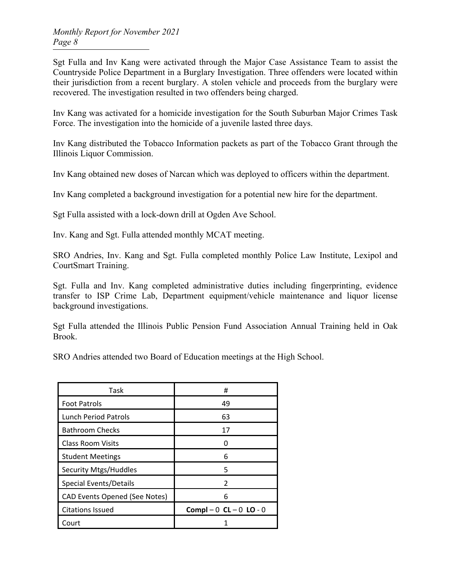Sgt Fulla and Inv Kang were activated through the Major Case Assistance Team to assist the Countryside Police Department in a Burglary Investigation. Three offenders were located within their jurisdiction from a recent burglary. A stolen vehicle and proceeds from the burglary were recovered. The investigation resulted in two offenders being charged.

Inv Kang was activated for a homicide investigation for the South Suburban Major Crimes Task Force. The investigation into the homicide of a juvenile lasted three days.

Inv Kang distributed the Tobacco Information packets as part of the Tobacco Grant through the Illinois Liquor Commission.

Inv Kang obtained new doses of Narcan which was deployed to officers within the department.

Inv Kang completed a background investigation for a potential new hire for the department.

Sgt Fulla assisted with a lock-down drill at Ogden Ave School.

Inv. Kang and Sgt. Fulla attended monthly MCAT meeting.

SRO Andries, Inv. Kang and Sgt. Fulla completed monthly Police Law Institute, Lexipol and CourtSmart Training.

Sgt. Fulla and Inv. Kang completed administrative duties including fingerprinting, evidence transfer to ISP Crime Lab, Department equipment/vehicle maintenance and liquor license background investigations.

Sgt Fulla attended the Illinois Public Pension Fund Association Annual Training held in Oak Brook.

SRO Andries attended two Board of Education meetings at the High School.

| Task                                 | #                          |  |
|--------------------------------------|----------------------------|--|
| <b>Foot Patrols</b>                  | 49                         |  |
| <b>Lunch Period Patrols</b>          | 63                         |  |
| <b>Bathroom Checks</b>               | 17                         |  |
| <b>Class Room Visits</b>             |                            |  |
| <b>Student Meetings</b>              | 6                          |  |
| <b>Security Mtgs/Huddles</b>         | 5                          |  |
| <b>Special Events/Details</b>        | 2                          |  |
| <b>CAD Events Opened (See Notes)</b> | 6                          |  |
| <b>Citations Issued</b>              | Compl $-0$ CL $-0$ LO $-0$ |  |
| Court                                |                            |  |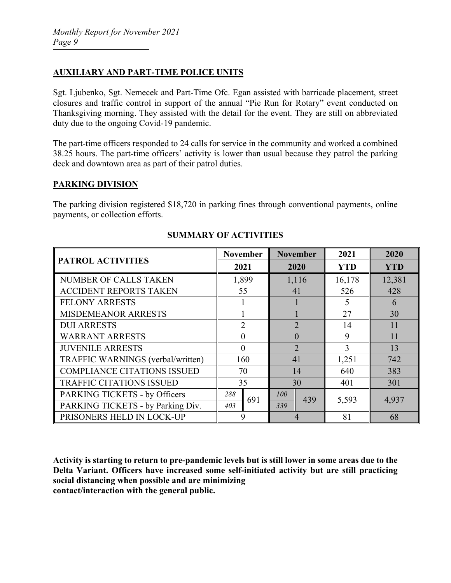#### **AUXILIARY AND PART-TIME POLICE UNITS**

Sgt. Ljubenko, Sgt. Nemecek and Part-Time Ofc. Egan assisted with barricade placement, street closures and traffic control in support of the annual "Pie Run for Rotary" event conducted on Thanksgiving morning. They assisted with the detail for the event. They are still on abbreviated duty due to the ongoing Covid-19 pandemic.

The part-time officers responded to 24 calls for service in the community and worked a combined 38.25 hours. The part-time officers' activity is lower than usual because they patrol the parking deck and downtown area as part of their patrol duties.

#### **PARKING DIVISION**

The parking division registered \$18,720 in parking fines through conventional payments, online payments, or collection efforts.

|                                          | <b>November</b> | <b>November</b> | 2021       | 2020       |
|------------------------------------------|-----------------|-----------------|------------|------------|
| <b>PATROL ACTIVITIES</b>                 | 2021            | 2020            | <b>YTD</b> | <b>YTD</b> |
| NUMBER OF CALLS TAKEN                    | 1,899           | 1,116           | 16,178     | 12,381     |
| <b>ACCIDENT REPORTS TAKEN</b>            | 55              | 41              | 526        | 428        |
| <b>FELONY ARRESTS</b>                    |                 |                 | 5          | 6          |
| <b>MISDEMEANOR ARRESTS</b>               |                 |                 | 27         | 30         |
| <b>DUI ARRESTS</b>                       | $\overline{2}$  | $\mathfrak{D}$  | 14         | 11         |
| <b>WARRANT ARRESTS</b>                   | $\theta$        | $\Omega$        | 9          | 11         |
| <b>JUVENILE ARRESTS</b>                  | $\theta$        | $\overline{2}$  | 3          | 13         |
| TRAFFIC WARNINGS (verbal/written)        | 160             | 41              | 1,251      | 742        |
| <b>COMPLIANCE CITATIONS ISSUED</b><br>70 |                 | 14              | 640        | 383        |
| <b>TRAFFIC CITATIONS ISSUED</b>          | 35              | 30              | 401        | 301        |
| PARKING TICKETS - by Officers            | 288             | 100<br>439      |            |            |
| PARKING TICKETS - by Parking Div.        | 691<br>403      | 339             | 5,593      | 4,937      |
| PRISONERS HELD IN LOCK-UP                | 9               |                 | 81         | 68         |

## **SUMMARY OF ACTIVITIES**

**Activity is starting to return to pre-pandemic levels but is still lower in some areas due to the Delta Variant. Officers have increased some self-initiated activity but are still practicing social distancing when possible and are minimizing contact/interaction with the general public.**